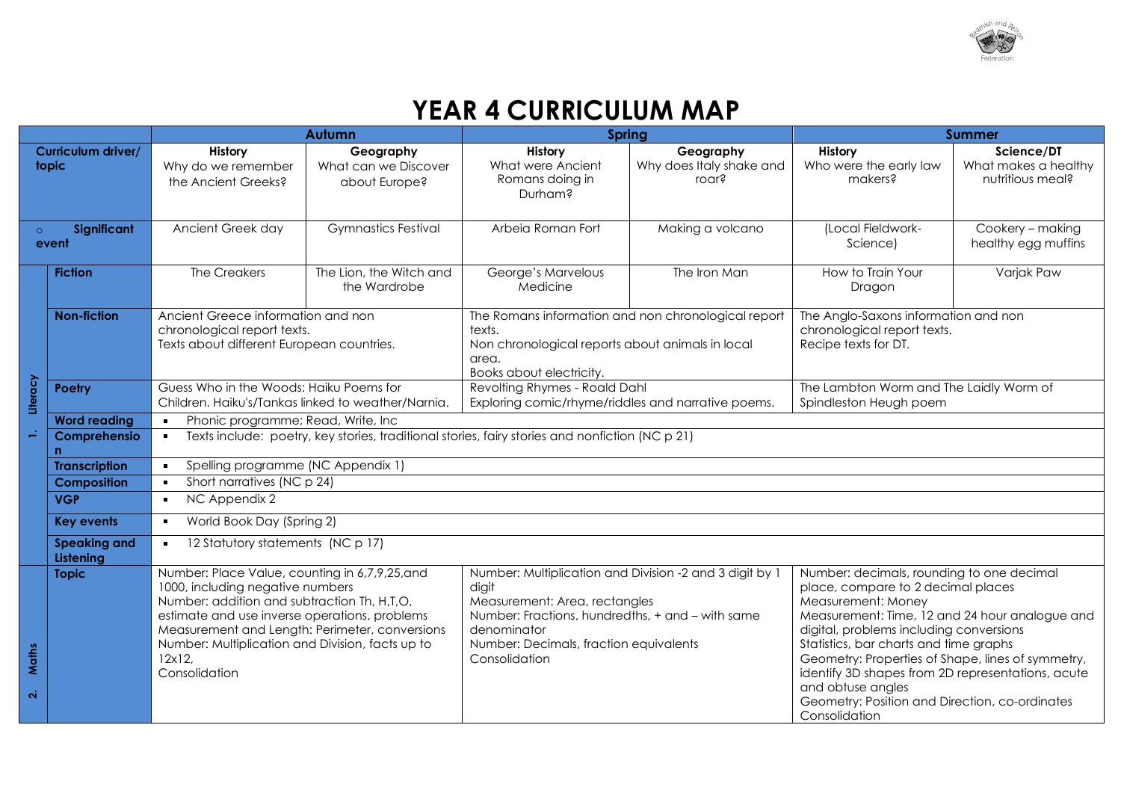

## **YEAR 4 CURRICULUM MAP**

|                                                                                                                   |                      | Autumn                                                                                                                                                                                                                                                                                                            |                                                    | Spring                                                                                                                                                               |                                                         | <b>Summer</b>                                                                                                                                                                                                                                                                                                                                                                                                                                  |                                                        |
|-------------------------------------------------------------------------------------------------------------------|----------------------|-------------------------------------------------------------------------------------------------------------------------------------------------------------------------------------------------------------------------------------------------------------------------------------------------------------------|----------------------------------------------------|----------------------------------------------------------------------------------------------------------------------------------------------------------------------|---------------------------------------------------------|------------------------------------------------------------------------------------------------------------------------------------------------------------------------------------------------------------------------------------------------------------------------------------------------------------------------------------------------------------------------------------------------------------------------------------------------|--------------------------------------------------------|
| Curriculum driver/<br>topic                                                                                       |                      | History<br>Why do we remember<br>the Ancient Greeks?                                                                                                                                                                                                                                                              | Geography<br>What can we Discover<br>about Europe? | <b>History</b><br>What were Ancient<br>Romans doing in<br>Durham?                                                                                                    | Geography<br>Why does Italy shake and<br>roar?          | History<br>Who were the early law<br>makers?                                                                                                                                                                                                                                                                                                                                                                                                   | Science/DT<br>What makes a healthy<br>nutritious meal? |
| Significant<br>$\circ$<br>event                                                                                   |                      | Ancient Greek day                                                                                                                                                                                                                                                                                                 | <b>Gymnastics Festival</b>                         | Arbeia Roman Fort                                                                                                                                                    | Making a volcano                                        | (Local Fieldwork-<br>Science)                                                                                                                                                                                                                                                                                                                                                                                                                  | Cookery - making<br>healthy egg muffins                |
|                                                                                                                   | <b>Fiction</b>       | The Creakers                                                                                                                                                                                                                                                                                                      | The Lion, the Witch and<br>the Wardrobe            | George's Marvelous<br>Medicine                                                                                                                                       | The Iron Man                                            | How to Train Your<br>Dragon                                                                                                                                                                                                                                                                                                                                                                                                                    | Varjak Paw                                             |
| <b>Non-fiction</b>                                                                                                |                      | Ancient Greece information and non<br>chronological report texts.<br>Texts about different European countries.                                                                                                                                                                                                    |                                                    | The Romans information and non chronological report<br>texts.<br>Non chronological reports about animals in local<br>area.<br>Books about electricity.               |                                                         | The Anglo-Saxons information and non<br>chronological report texts.<br>Recipe texts for DT.                                                                                                                                                                                                                                                                                                                                                    |                                                        |
| Literacy                                                                                                          | <b>Poetry</b>        | Guess Who in the Woods: Haiku Poems for<br>Children. Haiku's/Tankas linked to weather/Narnia.                                                                                                                                                                                                                     |                                                    | Revolting Rhymes - Roald Dahl<br>Exploring comic/rhyme/riddles and narrative poems.                                                                                  |                                                         | The Lambton Worm and The Laidly Worm of<br>Spindleston Heugh poem                                                                                                                                                                                                                                                                                                                                                                              |                                                        |
|                                                                                                                   | <b>Word reading</b>  | Phonic programme; Read, Write, Inc.<br>$\blacksquare$                                                                                                                                                                                                                                                             |                                                    |                                                                                                                                                                      |                                                         |                                                                                                                                                                                                                                                                                                                                                                                                                                                |                                                        |
|                                                                                                                   | Comprehensio<br>n    | Texts include: poetry, key stories, traditional stories, fairy stories and nonfiction (NC p 21)<br>$\blacksquare$                                                                                                                                                                                                 |                                                    |                                                                                                                                                                      |                                                         |                                                                                                                                                                                                                                                                                                                                                                                                                                                |                                                        |
|                                                                                                                   | <b>Transcription</b> | Spelling programme (NC Appendix 1)<br>$\blacksquare$                                                                                                                                                                                                                                                              |                                                    |                                                                                                                                                                      |                                                         |                                                                                                                                                                                                                                                                                                                                                                                                                                                |                                                        |
| Short narratives (NC p 24)<br><b>Composition</b><br>$\blacksquare$                                                |                      |                                                                                                                                                                                                                                                                                                                   |                                                    |                                                                                                                                                                      |                                                         |                                                                                                                                                                                                                                                                                                                                                                                                                                                |                                                        |
| <b>VGP</b><br>NC Appendix 2<br>$\blacksquare$<br>World Book Day (Spring 2)<br><b>Key events</b><br>$\blacksquare$ |                      |                                                                                                                                                                                                                                                                                                                   |                                                    |                                                                                                                                                                      |                                                         |                                                                                                                                                                                                                                                                                                                                                                                                                                                |                                                        |
|                                                                                                                   |                      |                                                                                                                                                                                                                                                                                                                   |                                                    |                                                                                                                                                                      |                                                         |                                                                                                                                                                                                                                                                                                                                                                                                                                                |                                                        |
| 12 Statutory statements (NC p 17)<br><b>Speaking and</b><br>$\blacksquare$<br>Listening                           |                      |                                                                                                                                                                                                                                                                                                                   |                                                    |                                                                                                                                                                      |                                                         |                                                                                                                                                                                                                                                                                                                                                                                                                                                |                                                        |
| Maths<br>$\overline{\mathbf{N}}$                                                                                  | <b>Topic</b>         | Number: Place Value, counting in 6,7,9,25,and<br>1000, including negative numbers<br>Number: addition and subtraction Th, H,T,O,<br>estimate and use inverse operations, problems<br>Measurement and Length: Perimeter, conversions<br>Number: Multiplication and Division, facts up to<br>12x12<br>Consolidation |                                                    | digit<br>Measurement: Area, rectangles<br>Number: Fractions, hundredths, + and - with same<br>denominator<br>Number: Decimals, fraction equivalents<br>Consolidation | Number: Multiplication and Division -2 and 3 digit by 1 | Number: decimals, rounding to one decimal<br>place, compare to 2 decimal places<br>Measurement: Money<br>Measurement: Time, 12 and 24 hour analogue and<br>digital, problems including conversions<br>Statistics, bar charts and time graphs<br>Geometry: Properties of Shape, lines of symmetry,<br>identify 3D shapes from 2D representations, acute<br>and obtuse angles<br>Geometry: Position and Direction, co-ordinates<br>Consolidation |                                                        |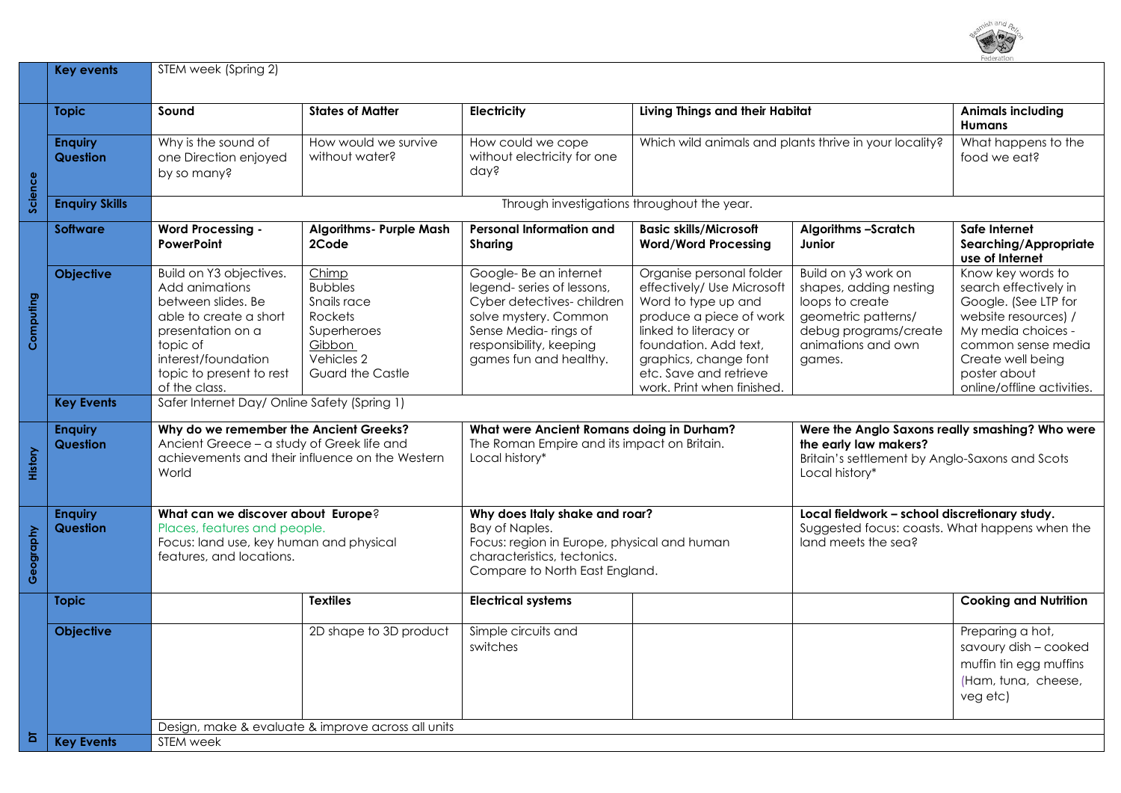

|                | <b>Key events</b>                                  | STEM week (Spring 2)                                                                                                                                                                           |                                                                                                                     |                                                                                                                                                                                       |                                                                                                                                                                                                                                             |                                                                                                                                                  |                                                                                                                                                                                                           |  |
|----------------|----------------------------------------------------|------------------------------------------------------------------------------------------------------------------------------------------------------------------------------------------------|---------------------------------------------------------------------------------------------------------------------|---------------------------------------------------------------------------------------------------------------------------------------------------------------------------------------|---------------------------------------------------------------------------------------------------------------------------------------------------------------------------------------------------------------------------------------------|--------------------------------------------------------------------------------------------------------------------------------------------------|-----------------------------------------------------------------------------------------------------------------------------------------------------------------------------------------------------------|--|
|                | <b>Topic</b>                                       | Sound                                                                                                                                                                                          | <b>States of Matter</b>                                                                                             | Electricity                                                                                                                                                                           | Living Things and their Habitat                                                                                                                                                                                                             |                                                                                                                                                  | <b>Animals including</b><br><b>Humans</b>                                                                                                                                                                 |  |
| Science        | <b>Enquiry</b><br><b>Question</b>                  | Why is the sound of<br>one Direction enjoyed<br>by so many?                                                                                                                                    | How would we survive<br>without water?                                                                              | How could we cope<br>without electricity for one<br>day?                                                                                                                              | Which wild animals and plants thrive in your locality?                                                                                                                                                                                      |                                                                                                                                                  | What happens to the<br>food we eat?                                                                                                                                                                       |  |
|                | <b>Enquiry Skills</b>                              |                                                                                                                                                                                                | Through investigations throughout the year.                                                                         |                                                                                                                                                                                       |                                                                                                                                                                                                                                             |                                                                                                                                                  |                                                                                                                                                                                                           |  |
|                | <b>Software</b>                                    | <b>Word Processing -</b><br><b>PowerPoint</b>                                                                                                                                                  | <b>Algorithms- Purple Mash</b><br>2Code                                                                             | <b>Personal Information and</b><br>Sharing                                                                                                                                            | <b>Basic skills/Microsoft</b><br><b>Word/Word Processing</b>                                                                                                                                                                                | <b>Algorithms -Scratch</b><br>Junior                                                                                                             | Safe Internet<br>Searching/Appropriate<br>use of Internet                                                                                                                                                 |  |
| Computing      | <b>Objective</b>                                   | Build on Y3 objectives.<br>Add animations<br>between slides. Be<br>able to create a short<br>presentation on a<br>topic of<br>interest/foundation<br>topic to present to rest<br>of the class. | Chimp<br><b>Bubbles</b><br>Snails race<br>Rockets<br>Superheroes<br>Gibbon<br>Vehicles 2<br><b>Guard the Castle</b> | Google-Be an internet<br>legend-series of lessons,<br>Cyber detectives-children<br>solve mystery. Common<br>Sense Media-rings of<br>responsibility, keeping<br>games fun and healthy. | Organise personal folder<br>effectively/ Use Microsoft<br>Word to type up and<br>produce a piece of work<br>linked to literacy or<br>foundation. Add text.<br>graphics, change font<br>etc. Save and retrieve<br>work. Print when finished. | Build on y3 work on<br>shapes, adding nesting<br>loops to create<br>geometric patterns/<br>debug programs/create<br>animations and own<br>games. | Know key words to<br>search effectively in<br>Google. (See LTP for<br>website resources) /<br>My media choices -<br>common sense media<br>Create well being<br>poster about<br>online/offline activities. |  |
|                | <b>Key Events</b>                                  |                                                                                                                                                                                                | Safer Internet Day/ Online Safety (Spring 1)                                                                        |                                                                                                                                                                                       |                                                                                                                                                                                                                                             |                                                                                                                                                  |                                                                                                                                                                                                           |  |
| History        | <b>Enquiry</b><br><b>Question</b>                  | Why do we remember the Ancient Greeks?<br>Ancient Greece - a study of Greek life and<br>achievements and their influence on the Western<br>World                                               |                                                                                                                     | What were Ancient Romans doing in Durham?<br>The Roman Empire and its impact on Britain.<br>Local history*                                                                            |                                                                                                                                                                                                                                             | Were the Anglo Saxons really smashing? Who were<br>the early law makers?<br>Britain's settlement by Anglo-Saxons and Scots<br>Local history*     |                                                                                                                                                                                                           |  |
| Geography      | <b>Enquiry</b><br><b>Question</b>                  | What can we discover about Europe?<br>Places, features and people.<br>Focus: land use, key human and physical<br>features, and locations.                                                      |                                                                                                                     | Why does Italy shake and roar?<br>Bay of Naples.<br>Focus: region in Europe, physical and human<br>characteristics, tectonics.<br>Compare to North East England.                      |                                                                                                                                                                                                                                             | Local fieldwork - school discretionary study.<br>Suggested focus: coasts. What happens when the<br>land meets the sea?                           |                                                                                                                                                                                                           |  |
|                | <b>Topic</b>                                       |                                                                                                                                                                                                | <b>Textiles</b>                                                                                                     | <b>Electrical systems</b>                                                                                                                                                             |                                                                                                                                                                                                                                             |                                                                                                                                                  | <b>Cooking and Nutrition</b>                                                                                                                                                                              |  |
|                | Objective                                          |                                                                                                                                                                                                | 2D shape to 3D product                                                                                              | Simple circuits and<br>switches                                                                                                                                                       |                                                                                                                                                                                                                                             |                                                                                                                                                  | Preparing a hot,<br>savoury dish - cooked<br>muffin tin egg muffins<br>(Ham, tuna, cheese,<br>veg etc)                                                                                                    |  |
| $\overline{a}$ | Design, make & evaluate & improve across all units |                                                                                                                                                                                                |                                                                                                                     |                                                                                                                                                                                       |                                                                                                                                                                                                                                             |                                                                                                                                                  |                                                                                                                                                                                                           |  |
|                | <b>Key Events</b>                                  | STEM week                                                                                                                                                                                      |                                                                                                                     |                                                                                                                                                                                       |                                                                                                                                                                                                                                             |                                                                                                                                                  |                                                                                                                                                                                                           |  |